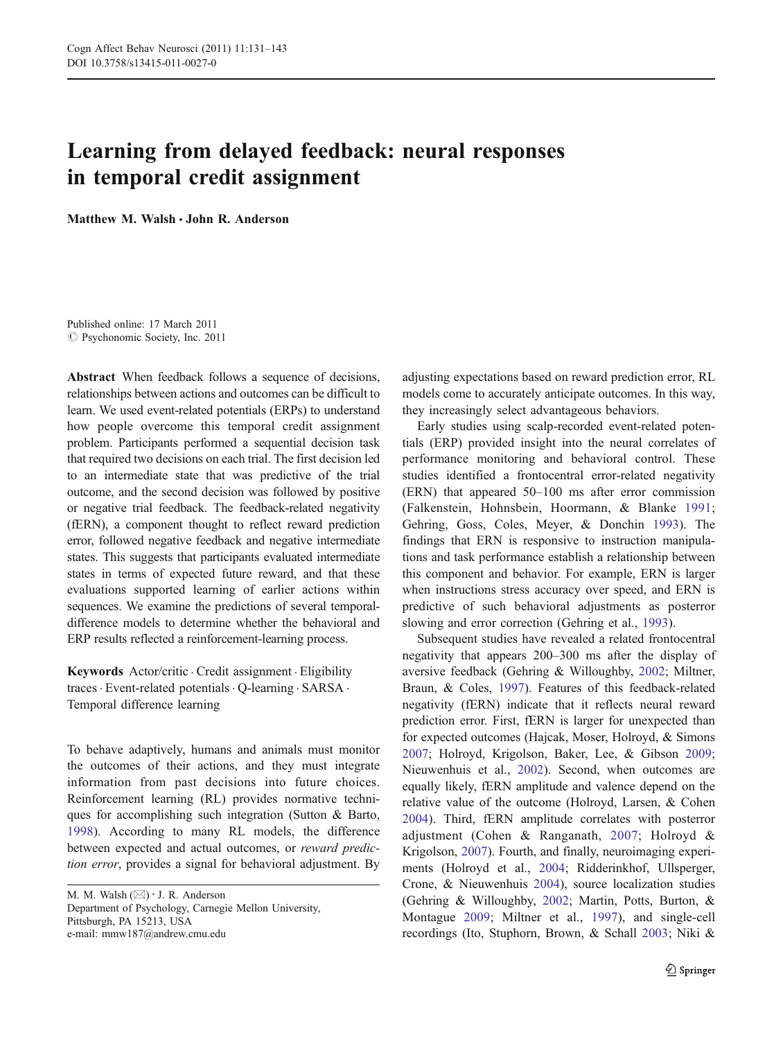# Learning from delayed feedback: neural responses in temporal credit assignment

Matthew M. Walsh  $\cdot$  John R. Anderson

Published online: 17 March 2011  $\oslash$  Psychonomic Society, Inc. 2011

Abstract When feedback follows a sequence of decisions, relationships between actions and outcomes can be difficult to learn. We used event-related potentials (ERPs) to understand how people overcome this temporal credit assignment problem. Participants performed a sequential decision task that required two decisions on each trial. The first decision led to an intermediate state that was predictive of the trial outcome, and the second decision was followed by positive or negative trial feedback. The feedback-related negativity (fERN), a component thought to reflect reward prediction error, followed negative feedback and negative intermediate states. This suggests that participants evaluated intermediate states in terms of expected future reward, and that these evaluations supported learning of earlier actions within sequences. We examine the predictions of several temporaldifference models to determine whether the behavioral and ERP results reflected a reinforcement-learning process.

Keywords Actor/critic . Credit assignment . Eligibility traces. Event-related potentials. Q-learning . SARSA . Temporal difference learning

To behave adaptively, humans and animals must monitor the outcomes of their actions, and they must integrate information from past decisions into future choices. Reinforcement learning (RL) provides normative techniques for accomplishing such integration (Sutton & Barto, [1998](#page-12-0)). According to many RL models, the difference between expected and actual outcomes, or reward prediction error, provides a signal for behavioral adjustment. By

M. M. Walsh  $(\boxtimes) \cdot$  J. R. Anderson Department of Psychology, Carnegie Mellon University, Pittsburgh, PA 15213, USA e-mail: mmw187@andrew.cmu.edu

adjusting expectations based on reward prediction error, RL models come to accurately anticipate outcomes. In this way, they increasingly select advantageous behaviors.

Early studies using scalp-recorded event-related potentials (ERP) provided insight into the neural correlates of performance monitoring and behavioral control. These studies identified a frontocentral error-related negativity (ERN) that appeared 50–100 ms after error commission (Falkenstein, Hohnsbein, Hoormann, & Blanke [1991;](#page-11-0) Gehring, Goss, Coles, Meyer, & Donchin [1993\)](#page-11-0). The findings that ERN is responsive to instruction manipulations and task performance establish a relationship between this component and behavior. For example, ERN is larger when instructions stress accuracy over speed, and ERN is predictive of such behavioral adjustments as posterror slowing and error correction (Gehring et al., [1993\)](#page-11-0).

Subsequent studies have revealed a related frontocentral negativity that appears 200–300 ms after the display of aversive feedback (Gehring & Willoughby, [2002](#page-11-0); Miltner, Braun, & Coles, [1997](#page-11-0)). Features of this feedback-related negativity (fERN) indicate that it reflects neural reward prediction error. First, fERN is larger for unexpected than for expected outcomes (Hajcak, Moser, Holroyd, & Simons [2007](#page-11-0); Holroyd, Krigolson, Baker, Lee, & Gibson [2009;](#page-11-0) Nieuwenhuis et al., [2002\)](#page-11-0). Second, when outcomes are equally likely, fERN amplitude and valence depend on the relative value of the outcome (Holroyd, Larsen, & Cohen [2004](#page-11-0)). Third, fERN amplitude correlates with posterror adjustment (Cohen & Ranganath, [2007;](#page-10-0) Holroyd & Krigolson, [2007\)](#page-11-0). Fourth, and finally, neuroimaging experiments (Holroyd et al., [2004](#page-11-0); Ridderinkhof, Ullsperger, Crone, & Nieuwenhuis [2004](#page-12-0)), source localization studies (Gehring & Willoughby, [2002;](#page-11-0) Martin, Potts, Burton, & Montague [2009](#page-11-0); Miltner et al., [1997](#page-11-0)), and single-cell recordings (Ito, Stuphorn, Brown, & Schall [2003;](#page-11-0) Niki &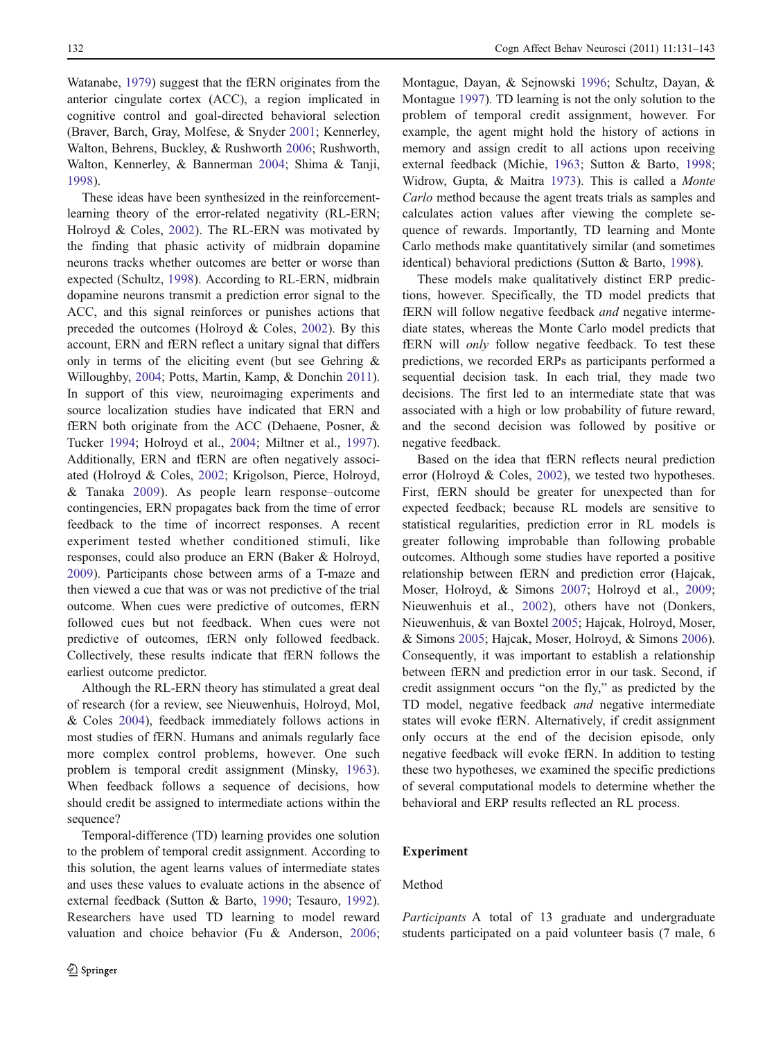Watanabe, [1979](#page-11-0)) suggest that the fERN originates from the anterior cingulate cortex (ACC), a region implicated in cognitive control and goal-directed behavioral selection (Braver, Barch, Gray, Molfese, & Snyder [2001](#page-10-0); Kennerley, Walton, Behrens, Buckley, & Rushworth [2006](#page-11-0); Rushworth, Walton, Kennerley, & Bannerman [2004;](#page-12-0) Shima & Tanji, [1998\)](#page-12-0).

These ideas have been synthesized in the reinforcementlearning theory of the error-related negativity (RL-ERN; Holroyd & Coles, [2002](#page-11-0)). The RL-ERN was motivated by the finding that phasic activity of midbrain dopamine neurons tracks whether outcomes are better or worse than expected (Schultz, [1998\)](#page-12-0). According to RL-ERN, midbrain dopamine neurons transmit a prediction error signal to the ACC, and this signal reinforces or punishes actions that preceded the outcomes (Holroyd & Coles, [2002\)](#page-11-0). By this account, ERN and fERN reflect a unitary signal that differs only in terms of the eliciting event (but see Gehring & Willoughby, [2004;](#page-11-0) Potts, Martin, Kamp, & Donchin [2011](#page-12-0)). In support of this view, neuroimaging experiments and source localization studies have indicated that ERN and fERN both originate from the ACC (Dehaene, Posner, & Tucker [1994;](#page-10-0) Holroyd et al., [2004;](#page-11-0) Miltner et al., [1997](#page-11-0)). Additionally, ERN and fERN are often negatively associated (Holroyd & Coles, [2002;](#page-11-0) Krigolson, Pierce, Holroyd, & Tanaka [2009\)](#page-11-0). As people learn response–outcome contingencies, ERN propagates back from the time of error feedback to the time of incorrect responses. A recent experiment tested whether conditioned stimuli, like responses, could also produce an ERN (Baker & Holroyd, [2009\)](#page-10-0). Participants chose between arms of a T-maze and then viewed a cue that was or was not predictive of the trial outcome. When cues were predictive of outcomes, fERN followed cues but not feedback. When cues were not predictive of outcomes, fERN only followed feedback. Collectively, these results indicate that fERN follows the earliest outcome predictor.

Although the RL-ERN theory has stimulated a great deal of research (for a review, see Nieuwenhuis, Holroyd, Mol, & Coles [2004](#page-11-0)), feedback immediately follows actions in most studies of fERN. Humans and animals regularly face more complex control problems, however. One such problem is temporal credit assignment (Minsky, [1963](#page-11-0)). When feedback follows a sequence of decisions, how should credit be assigned to intermediate actions within the sequence?

Temporal-difference (TD) learning provides one solution to the problem of temporal credit assignment. According to this solution, the agent learns values of intermediate states and uses these values to evaluate actions in the absence of external feedback (Sutton & Barto, [1990](#page-12-0); Tesauro, [1992](#page-12-0)). Researchers have used TD learning to model reward valuation and choice behavior (Fu & Anderson, [2006](#page-11-0); Montague, Dayan, & Sejnowski [1996;](#page-11-0) Schultz, Dayan, & Montague [1997\)](#page-12-0). TD learning is not the only solution to the problem of temporal credit assignment, however. For example, the agent might hold the history of actions in memory and assign credit to all actions upon receiving external feedback (Michie, [1963;](#page-11-0) Sutton & Barto, [1998;](#page-12-0) Widrow, Gupta, & Maitra [1973\)](#page-12-0). This is called a Monte Carlo method because the agent treats trials as samples and calculates action values after viewing the complete sequence of rewards. Importantly, TD learning and Monte Carlo methods make quantitatively similar (and sometimes identical) behavioral predictions (Sutton & Barto, [1998\)](#page-12-0).

These models make qualitatively distinct ERP predictions, however. Specifically, the TD model predicts that fERN will follow negative feedback and negative intermediate states, whereas the Monte Carlo model predicts that fERN will only follow negative feedback. To test these predictions, we recorded ERPs as participants performed a sequential decision task. In each trial, they made two decisions. The first led to an intermediate state that was associated with a high or low probability of future reward, and the second decision was followed by positive or negative feedback.

Based on the idea that fERN reflects neural prediction error (Holroyd & Coles, [2002](#page-11-0)), we tested two hypotheses. First, fERN should be greater for unexpected than for expected feedback; because RL models are sensitive to statistical regularities, prediction error in RL models is greater following improbable than following probable outcomes. Although some studies have reported a positive relationship between fERN and prediction error (Hajcak, Moser, Holroyd, & Simons [2007;](#page-11-0) Holroyd et al., [2009;](#page-11-0) Nieuwenhuis et al., [2002](#page-11-0)), others have not (Donkers, Nieuwenhuis, & van Boxtel [2005](#page-11-0); Hajcak, Holroyd, Moser, & Simons [2005;](#page-11-0) Hajcak, Moser, Holroyd, & Simons [2006\)](#page-11-0). Consequently, it was important to establish a relationship between fERN and prediction error in our task. Second, if credit assignment occurs "on the fly," as predicted by the TD model, negative feedback and negative intermediate states will evoke fERN. Alternatively, if credit assignment only occurs at the end of the decision episode, only negative feedback will evoke fERN. In addition to testing these two hypotheses, we examined the specific predictions of several computational models to determine whether the behavioral and ERP results reflected an RL process.

# Experiment

# Method

Participants A total of 13 graduate and undergraduate students participated on a paid volunteer basis (7 male, 6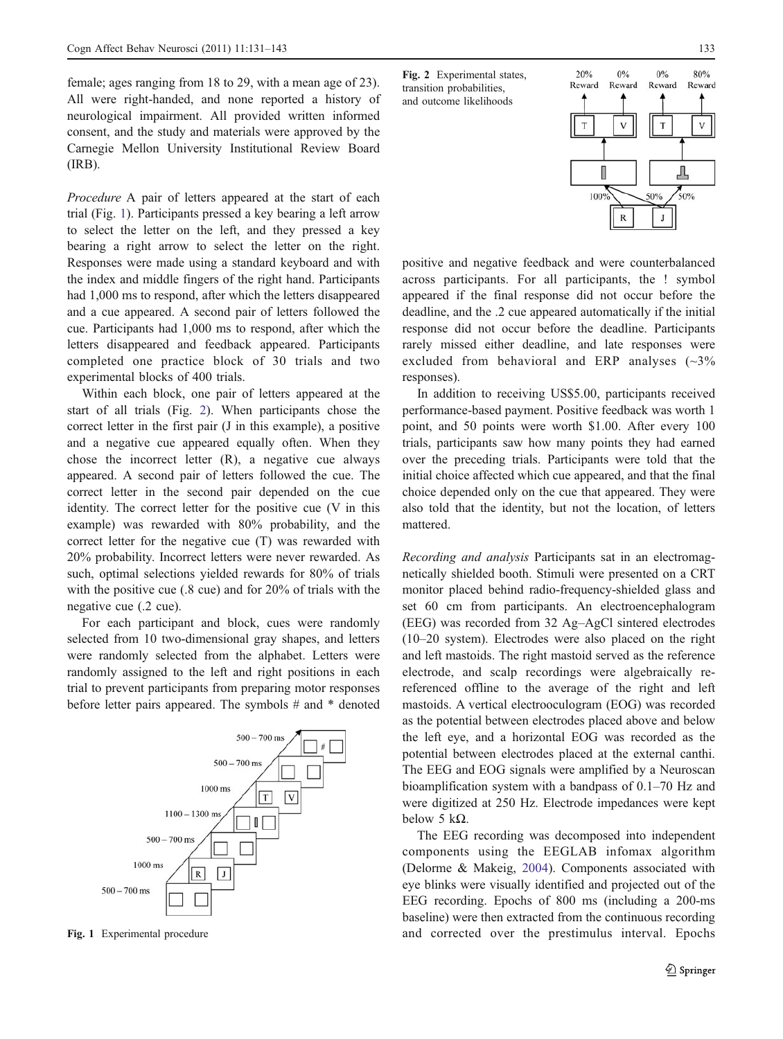female; ages ranging from 18 to 29, with a mean age of 23). All were right-handed, and none reported a history of neurological impairment. All provided written informed consent, and the study and materials were approved by the Carnegie Mellon University Institutional Review Board (IRB).

Procedure A pair of letters appeared at the start of each trial (Fig. 1). Participants pressed a key bearing a left arrow to select the letter on the left, and they pressed a key bearing a right arrow to select the letter on the right. Responses were made using a standard keyboard and with the index and middle fingers of the right hand. Participants had 1,000 ms to respond, after which the letters disappeared and a cue appeared. A second pair of letters followed the cue. Participants had 1,000 ms to respond, after which the letters disappeared and feedback appeared. Participants completed one practice block of 30 trials and two experimental blocks of 400 trials.

Within each block, one pair of letters appeared at the start of all trials (Fig. 2). When participants chose the correct letter in the first pair (J in this example), a positive and a negative cue appeared equally often. When they chose the incorrect letter (R), a negative cue always appeared. A second pair of letters followed the cue. The correct letter in the second pair depended on the cue identity. The correct letter for the positive cue (V in this example) was rewarded with 80% probability, and the correct letter for the negative cue (T) was rewarded with 20% probability. Incorrect letters were never rewarded. As such, optimal selections yielded rewards for 80% of trials with the positive cue (.8 cue) and for 20% of trials with the negative cue (.2 cue).

For each participant and block, cues were randomly selected from 10 two-dimensional gray shapes, and letters were randomly selected from the alphabet. Letters were randomly assigned to the left and right positions in each trial to prevent participants from preparing motor responses before letter pairs appeared. The symbols # and \* denoted



Fig. 2 Experimental states, transition probabilities, and outcome likelihoods



positive and negative feedback and were counterbalanced across participants. For all participants, the ! symbol appeared if the final response did not occur before the deadline, and the .2 cue appeared automatically if the initial response did not occur before the deadline. Participants rarely missed either deadline, and late responses were excluded from behavioral and ERP analyses (~3% responses).

In addition to receiving US\$5.00, participants received performance-based payment. Positive feedback was worth 1 point, and 50 points were worth \$1.00. After every 100 trials, participants saw how many points they had earned over the preceding trials. Participants were told that the initial choice affected which cue appeared, and that the final choice depended only on the cue that appeared. They were also told that the identity, but not the location, of letters mattered.

Recording and analysis Participants sat in an electromagnetically shielded booth. Stimuli were presented on a CRT monitor placed behind radio-frequency-shielded glass and set 60 cm from participants. An electroencephalogram (EEG) was recorded from 32 Ag–AgCl sintered electrodes (10–20 system). Electrodes were also placed on the right and left mastoids. The right mastoid served as the reference electrode, and scalp recordings were algebraically rereferenced offline to the average of the right and left mastoids. A vertical electrooculogram (EOG) was recorded as the potential between electrodes placed above and below the left eye, and a horizontal EOG was recorded as the potential between electrodes placed at the external canthi. The EEG and EOG signals were amplified by a Neuroscan bioamplification system with a bandpass of 0.1–70 Hz and were digitized at 250 Hz. Electrode impedances were kept below 5 kΩ.

The EEG recording was decomposed into independent components using the EEGLAB infomax algorithm (Delorme & Makeig, [2004](#page-11-0)). Components associated with eye blinks were visually identified and projected out of the EEG recording. Epochs of 800 ms (including a 200-ms baseline) were then extracted from the continuous recording Fig. 1 Experimental procedure and corrected over the prestimulus interval. Epochs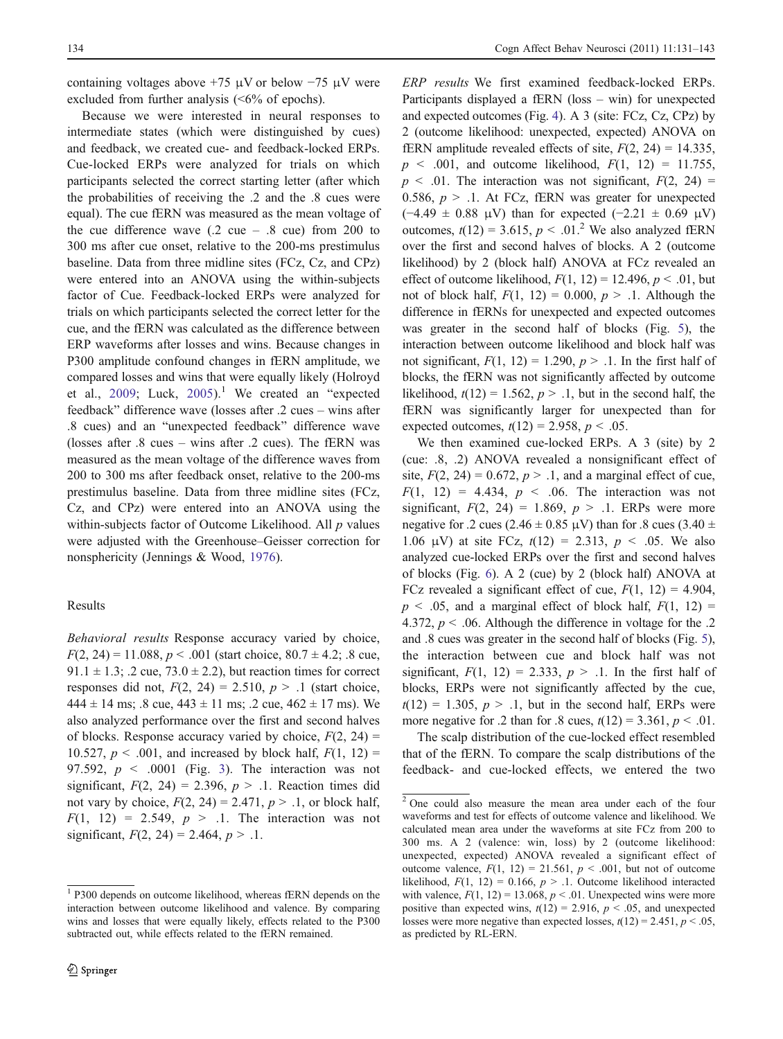containing voltages above  $+75 \mu V$  or below  $-75 \mu V$  were excluded from further analysis (<6% of epochs).

Because we were interested in neural responses to intermediate states (which were distinguished by cues) and feedback, we created cue- and feedback-locked ERPs. Cue-locked ERPs were analyzed for trials on which participants selected the correct starting letter (after which the probabilities of receiving the .2 and the .8 cues were equal). The cue fERN was measured as the mean voltage of the cue difference wave  $(0.2 \text{ cue} - 0.8 \text{ cue})$  from 200 to 300 ms after cue onset, relative to the 200-ms prestimulus baseline. Data from three midline sites (FCz, Cz, and CPz) were entered into an ANOVA using the within-subjects factor of Cue. Feedback-locked ERPs were analyzed for trials on which participants selected the correct letter for the cue, and the fERN was calculated as the difference between ERP waveforms after losses and wins. Because changes in P300 amplitude confound changes in fERN amplitude, we compared losses and wins that were equally likely (Holroyd et al., [2009;](#page-11-0) Luck, [2005](#page-11-0)).<sup>1</sup> We created an "expected" feedback" difference wave (losses after .2 cues – wins after .8 cues) and an "unexpected feedback" difference wave (losses after .8 cues – wins after .2 cues). The fERN was measured as the mean voltage of the difference waves from 200 to 300 ms after feedback onset, relative to the 200-ms prestimulus baseline. Data from three midline sites (FCz, Cz, and CPz) were entered into an ANOVA using the within-subjects factor of Outcome Likelihood. All  $p$  values were adjusted with the Greenhouse–Geisser correction for nonsphericity (Jennings & Wood, [1976\)](#page-11-0).

#### Results

Behavioral results Response accuracy varied by choice,  $F(2, 24) = 11.088, p < .001$  (start choice,  $80.7 \pm 4.2$ ; .8 cue, 91.1  $\pm$  1.3; .2 cue, 73.0  $\pm$  2.2), but reaction times for correct responses did not,  $F(2, 24) = 2.510$ ,  $p > .1$  (start choice,  $444 \pm 14$  ms; .8 cue,  $443 \pm 11$  ms; .2 cue,  $462 \pm 17$  ms). We also analyzed performance over the first and second halves of blocks. Response accuracy varied by choice,  $F(2, 24) =$ 10.527,  $p < .001$ , and increased by block half,  $F(1, 12) =$ 97.592,  $p \le 0.0001$  (Fig. [3\)](#page-4-0). The interaction was not significant,  $F(2, 24) = 2.396$ ,  $p > 1$ . Reaction times did not vary by choice,  $F(2, 24) = 2.471$ ,  $p > .1$ , or block half,  $F(1, 12) = 2.549$ ,  $p > 1$ . The interaction was not significant,  $F(2, 24) = 2.464$ ,  $p > .1$ .

ERP results We first examined feedback-locked ERPs. Participants displayed a fERN (loss – win) for unexpected and expected outcomes (Fig. [4](#page-4-0)). A 3 (site: FCz, Cz, CPz) by 2 (outcome likelihood: unexpected, expected) ANOVA on fERN amplitude revealed effects of site,  $F(2, 24) = 14.335$ ,  $p \le 0.001$ , and outcome likelihood,  $F(1, 12) = 11.755$ ,  $p \leq 0.01$ . The interaction was not significant,  $F(2, 24) =$ 0.586,  $p > 0.1$ . At FCz, fERN was greater for unexpected (−4.49 ± 0.88 μV) than for expected (−2.21 ± 0.69 μV) outcomes,  $t(12) = 3.615$ ,  $p < .01<sup>2</sup>$  We also analyzed fERN over the first and second halves of blocks. A 2 (outcome likelihood) by 2 (block half) ANOVA at FCz revealed an effect of outcome likelihood,  $F(1, 12) = 12.496$ ,  $p < .01$ , but not of block half,  $F(1, 12) = 0.000$ ,  $p > 0.1$ . Although the difference in fERNs for unexpected and expected outcomes was greater in the second half of blocks (Fig. [5\)](#page-4-0), the interaction between outcome likelihood and block half was not significant,  $F(1, 12) = 1.290$ ,  $p > 0.1$ . In the first half of blocks, the fERN was not significantly affected by outcome likelihood,  $t(12) = 1.562$ ,  $p > 0.1$ , but in the second half, the fERN was significantly larger for unexpected than for expected outcomes,  $t(12) = 2.958$ ,  $p < .05$ .

We then examined cue-locked ERPs. A 3 (site) by 2 (cue: .8, .2) ANOVA revealed a nonsignificant effect of site,  $F(2, 24) = 0.672$ ,  $p > 0.1$ , and a marginal effect of cue,  $F(1, 12) = 4.434, p < .06$ . The interaction was not significant,  $F(2, 24) = 1.869$ ,  $p > .1$ . ERPs were more negative for .2 cues (2.46  $\pm$  0.85  $\mu$ V) than for .8 cues (3.40  $\pm$ 1.06  $\mu$ V) at site FCz,  $t(12) = 2.313$ ,  $p < .05$ . We also analyzed cue-locked ERPs over the first and second halves of blocks (Fig. [6](#page-4-0)). A 2 (cue) by 2 (block half) ANOVA at FCz revealed a significant effect of cue,  $F(1, 12) = 4.904$ ,  $p \leq 0.05$ , and a marginal effect of block half,  $F(1, 12) =$ 4.372,  $p < 0.06$ . Although the difference in voltage for the .2 and .8 cues was greater in the second half of blocks (Fig. [5\)](#page-4-0), the interaction between cue and block half was not significant,  $F(1, 12) = 2.333$ ,  $p > 1$ . In the first half of blocks, ERPs were not significantly affected by the cue,  $t(12) = 1.305$ ,  $p > 0.1$ , but in the second half, ERPs were more negative for .2 than for .8 cues,  $t(12) = 3.361$ ,  $p < .01$ .

The scalp distribution of the cue-locked effect resembled that of the fERN. To compare the scalp distributions of the feedback- and cue-locked effects, we entered the two

<sup>&</sup>lt;sup>1</sup> P300 depends on outcome likelihood, whereas fERN depends on the interaction between outcome likelihood and valence. By comparing wins and losses that were equally likely, effects related to the P300 subtracted out, while effects related to the fERN remained.

<sup>2</sup> One could also measure the mean area under each of the four waveforms and test for effects of outcome valence and likelihood. We calculated mean area under the waveforms at site FCz from 200 to 300 ms. A 2 (valence: win, loss) by 2 (outcome likelihood: unexpected, expected) ANOVA revealed a significant effect of outcome valence,  $F(1, 12) = 21.561$ ,  $p < .001$ , but not of outcome likelihood,  $F(1, 12) = 0.166$ ,  $p > 0.1$ . Outcome likelihood interacted with valence,  $F(1, 12) = 13.068$ ,  $p < .01$ . Unexpected wins were more positive than expected wins,  $t(12) = 2.916$ ,  $p < .05$ , and unexpected losses were more negative than expected losses,  $t(12) = 2.451$ ,  $p < .05$ , as predicted by RL-ERN.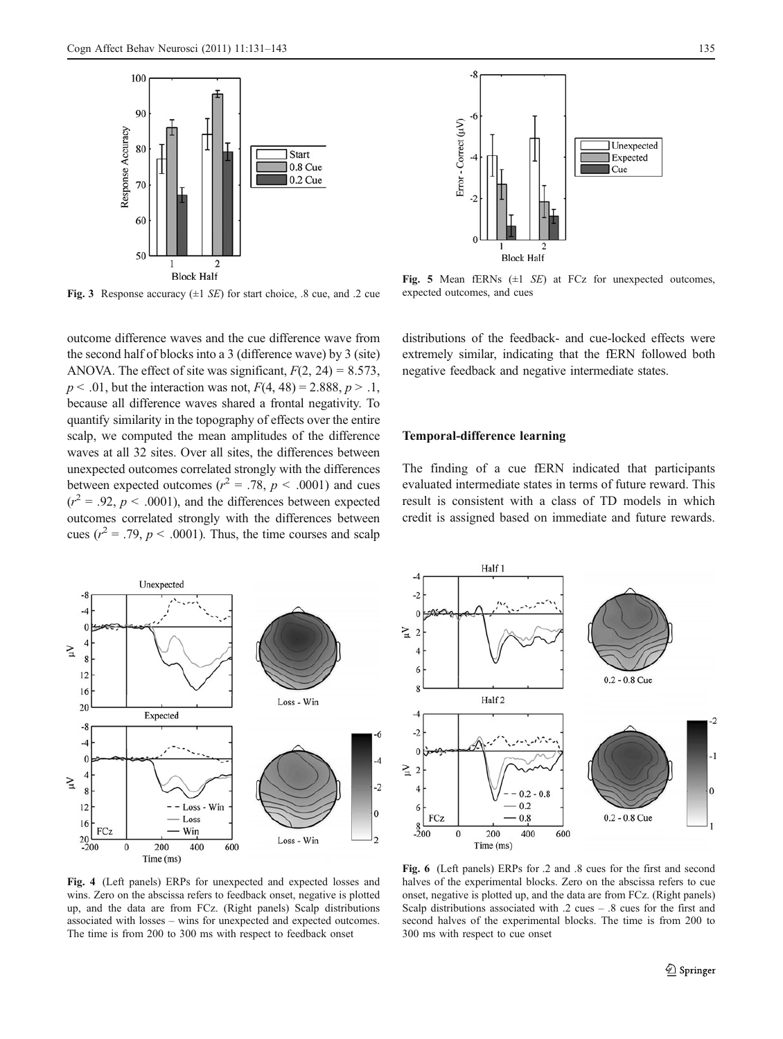<span id="page-4-0"></span>



Fig. 3 Response accuracy  $(\pm 1 \, \text{SE})$  for start choice, .8 cue, and .2 cue

outcome difference waves and the cue difference wave from the second half of blocks into a 3 (difference wave) by 3 (site) ANOVA. The effect of site was significant,  $F(2, 24) = 8.573$ ,  $p < .01$ , but the interaction was not,  $F(4, 48) = 2.888$ ,  $p > .1$ , because all difference waves shared a frontal negativity. To quantify similarity in the topography of effects over the entire scalp, we computed the mean amplitudes of the difference waves at all 32 sites. Over all sites, the differences between unexpected outcomes correlated strongly with the differences between expected outcomes ( $r^2 = .78$ ,  $p < .0001$ ) and cues  $(r^2 = .92, p < .0001)$ , and the differences between expected outcomes correlated strongly with the differences between cues ( $r^2 = .79$ ,  $p < .0001$ ). Thus, the time courses and scalp

Fig. 5 Mean fERNs  $(\pm 1 \text{ } SE)$  at FCz for unexpected outcomes, expected outcomes, and cues

distributions of the feedback- and cue-locked effects were extremely similar, indicating that the fERN followed both negative feedback and negative intermediate states.

## Temporal-difference learning

The finding of a cue fERN indicated that participants evaluated intermediate states in terms of future reward. This result is consistent with a class of TD models in which credit is assigned based on immediate and future rewards.



Half 1  $-2$ Υ'n  $\overline{2}$  $0.2 - 0.8$  Cue Half<sub>2</sub>  $-2$ ΣĻ  $\overline{2}$  $0.2 - 0.8$ 0  $0.2$ FCz  $0.8$  $0.2 - 0.8$  Cue  $rac{8}{200}$  $\pmb{0}$ 200 400 600 Time (ms)

Fig. 4 (Left panels) ERPs for unexpected and expected losses and wins. Zero on the abscissa refers to feedback onset, negative is plotted up, and the data are from FCz. (Right panels) Scalp distributions associated with losses – wins for unexpected and expected outcomes. The time is from 200 to 300 ms with respect to feedback onset

Fig. 6 (Left panels) ERPs for .2 and .8 cues for the first and second halves of the experimental blocks. Zero on the abscissa refers to cue onset, negative is plotted up, and the data are from FCz. (Right panels) Scalp distributions associated with .2 cues – .8 cues for the first and second halves of the experimental blocks. The time is from 200 to 300 ms with respect to cue onset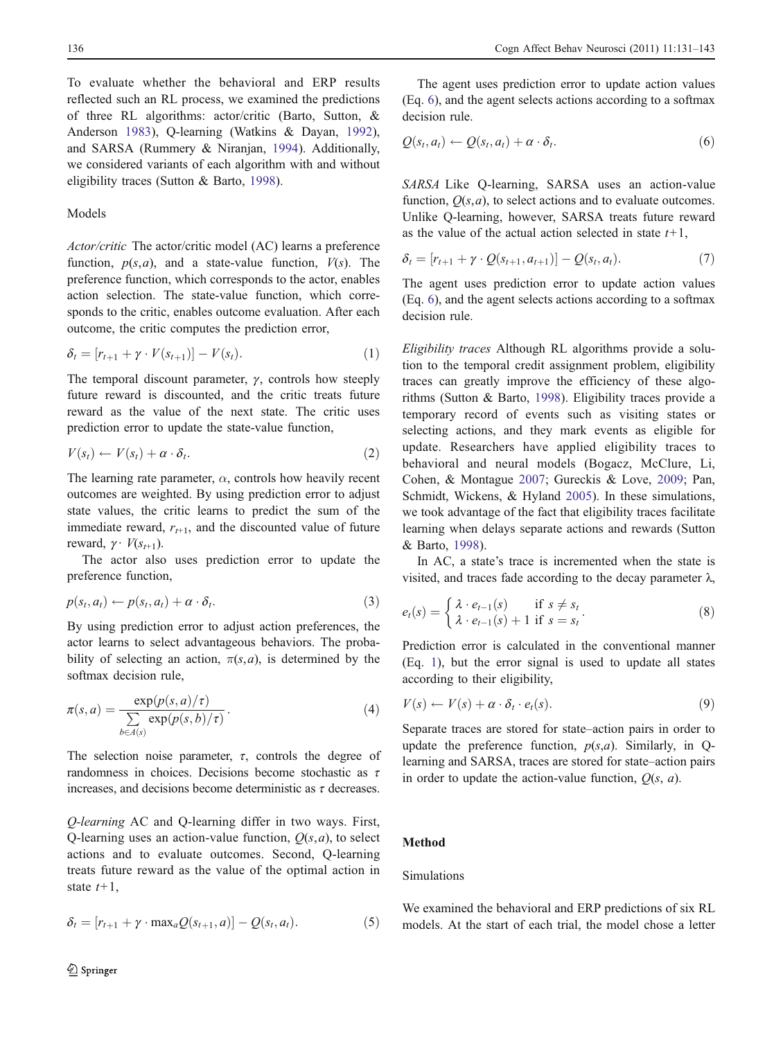To evaluate whether the behavioral and ERP results reflected such an RL process, we examined the predictions of three RL algorithms: actor/critic (Barto, Sutton, & Anderson [1983](#page-10-0)), Q-learning (Watkins & Dayan, [1992](#page-12-0)), and SARSA (Rummery & Niranjan, [1994](#page-12-0)). Additionally, we considered variants of each algorithm with and without eligibility traces (Sutton & Barto, [1998\)](#page-12-0).

## Models

Actor/critic The actor/critic model (AC) learns a preference function,  $p(s,a)$ , and a state-value function,  $V(s)$ . The preference function, which corresponds to the actor, enables action selection. The state-value function, which corresponds to the critic, enables outcome evaluation. After each outcome, the critic computes the prediction error,

$$
\delta_t = [r_{t+1} + \gamma \cdot V(s_{t+1})] - V(s_t). \tag{1}
$$

The temporal discount parameter,  $\gamma$ , controls how steeply future reward is discounted, and the critic treats future reward as the value of the next state. The critic uses prediction error to update the state-value function,

$$
V(s_t) \leftarrow V(s_t) + \alpha \cdot \delta_t. \tag{2}
$$

The learning rate parameter,  $\alpha$ , controls how heavily recent outcomes are weighted. By using prediction error to adjust state values, the critic learns to predict the sum of the immediate reward,  $r_{t+1}$ , and the discounted value of future reward,  $\gamma \cdot V(s_{t+1})$ .

The actor also uses prediction error to update the preference function,

$$
p(s_t, a_t) \leftarrow p(s_t, a_t) + \alpha \cdot \delta_t. \tag{3}
$$

By using prediction error to adjust action preferences, the actor learns to select advantageous behaviors. The probability of selecting an action,  $\pi(s,a)$ , is determined by the softmax decision rule,

$$
\pi(s, a) = \frac{\exp(p(s, a)/\tau)}{\sum_{b \in A(s)} \exp(p(s, b)/\tau)}.
$$
\n(4)

The selection noise parameter,  $\tau$ , controls the degree of randomness in choices. Decisions become stochastic as  $\tau$ increases, and decisions become deterministic as  $\tau$  decreases.

Q-learning AC and Q-learning differ in two ways. First, Q-learning uses an action-value function,  $Q(s, a)$ , to select actions and to evaluate outcomes. Second, Q-learning treats future reward as the value of the optimal action in state  $t+1$ ,

$$
\delta_t = [r_{t+1} + \gamma \cdot \max_a Q(s_{t+1}, a)] - Q(s_t, a_t). \tag{5}
$$

The agent uses prediction error to update action values (Eq. 6), and the agent selects actions according to a softmax decision rule.

$$
Q(s_t, a_t) \leftarrow Q(s_t, a_t) + \alpha \cdot \delta_t. \tag{6}
$$

SARSA Like Q-learning, SARSA uses an action-value function,  $O(s, a)$ , to select actions and to evaluate outcomes. Unlike Q-learning, however, SARSA treats future reward as the value of the actual action selected in state  $t+1$ ,

$$
\delta_t = [r_{t+1} + \gamma \cdot Q(s_{t+1}, a_{t+1})] - Q(s_t, a_t). \tag{7}
$$

The agent uses prediction error to update action values (Eq. 6), and the agent selects actions according to a softmax decision rule.

Eligibility traces Although RL algorithms provide a solution to the temporal credit assignment problem, eligibility traces can greatly improve the efficiency of these algorithms (Sutton & Barto, [1998\)](#page-12-0). Eligibility traces provide a temporary record of events such as visiting states or selecting actions, and they mark events as eligible for update. Researchers have applied eligibility traces to behavioral and neural models (Bogacz, McClure, Li, Cohen, & Montague [2007;](#page-10-0) Gureckis & Love, [2009](#page-11-0); Pan, Schmidt, Wickens, & Hyland [2005\)](#page-11-0). In these simulations, we took advantage of the fact that eligibility traces facilitate learning when delays separate actions and rewards (Sutton & Barto, [1998\)](#page-12-0).

In AC, a state's trace is incremented when the state is visited, and traces fade according to the decay parameter  $\lambda$ .

$$
e_t(s) = \begin{cases} \lambda \cdot e_{t-1}(s) & \text{if } s \neq s_t \\ \lambda \cdot e_{t-1}(s) + 1 & \text{if } s = s_t \end{cases} \tag{8}
$$

Prediction error is calculated in the conventional manner (Eq. 1), but the error signal is used to update all states according to their eligibility,

$$
V(s) \leftarrow V(s) + \alpha \cdot \delta_t \cdot e_t(s). \tag{9}
$$

Separate traces are stored for state–action pairs in order to update the preference function,  $p(s,a)$ . Similarly, in Qlearning and SARSA, traces are stored for state–action pairs in order to update the action-value function,  $Q(s, a)$ .

### Method

#### Simulations

We examined the behavioral and ERP predictions of six RL models. At the start of each trial, the model chose a letter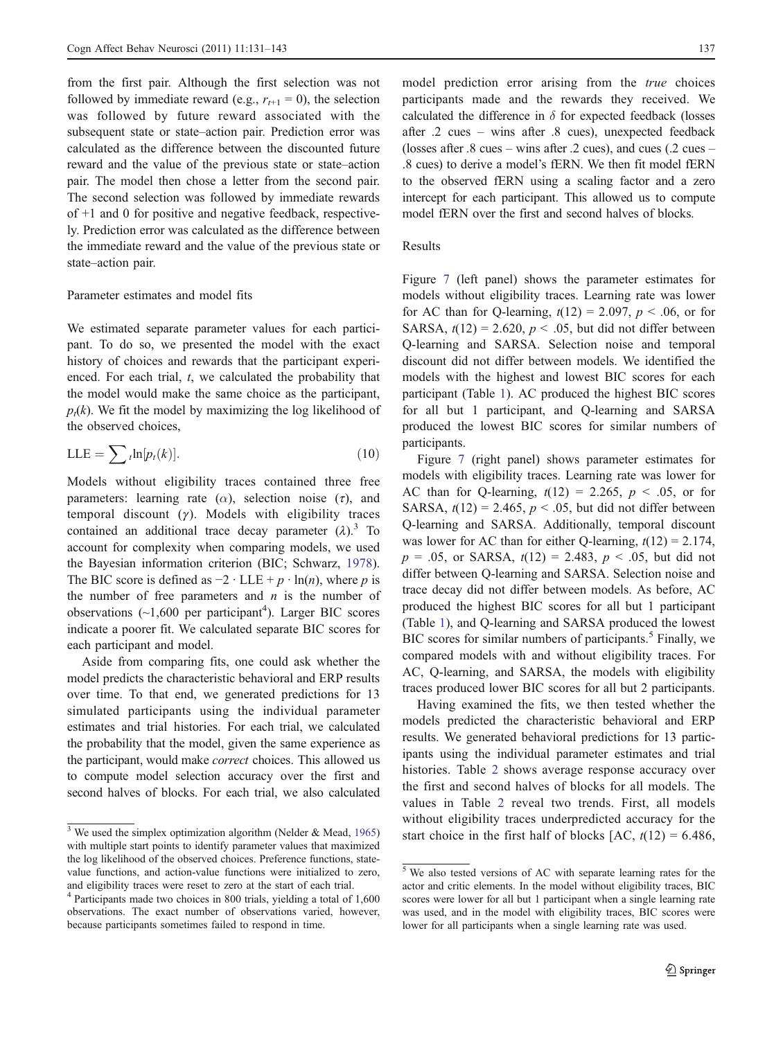from the first pair. Although the first selection was not followed by immediate reward (e.g.,  $r_{t+1} = 0$ ), the selection was followed by future reward associated with the subsequent state or state–action pair. Prediction error was calculated as the difference between the discounted future reward and the value of the previous state or state–action pair. The model then chose a letter from the second pair. The second selection was followed by immediate rewards of +1 and 0 for positive and negative feedback, respectively. Prediction error was calculated as the difference between the immediate reward and the value of the previous state or state–action pair.

#### Parameter estimates and model fits

We estimated separate parameter values for each participant. To do so, we presented the model with the exact history of choices and rewards that the participant experienced. For each trial, t, we calculated the probability that the model would make the same choice as the participant,  $p_t(k)$ . We fit the model by maximizing the log likelihood of the observed choices,

$$
LLE = \sum_{t} \ln[p_t(k)]. \tag{10}
$$

Models without eligibility traces contained three free parameters: learning rate ( $\alpha$ ), selection noise ( $\tau$ ), and temporal discount  $(y)$ . Models with eligibility traces contained an additional trace decay parameter  $(\lambda)$ .<sup>3</sup> To account for complexity when comparing models, we used the Bayesian information criterion (BIC; Schwarz, [1978](#page-12-0)). The BIC score is defined as  $-2 \cdot LLE + p \cdot \ln(n)$ , where p is the number of free parameters and  $n$  is the number of observations  $(\sim 1,600$  per participant<sup>4</sup>). Larger BIC scores indicate a poorer fit. We calculated separate BIC scores for each participant and model.

Aside from comparing fits, one could ask whether the model predicts the characteristic behavioral and ERP results over time. To that end, we generated predictions for 13 simulated participants using the individual parameter estimates and trial histories. For each trial, we calculated the probability that the model, given the same experience as the participant, would make *correct* choices. This allowed us to compute model selection accuracy over the first and second halves of blocks. For each trial, we also calculated

model prediction error arising from the true choices participants made and the rewards they received. We calculated the difference in  $\delta$  for expected feedback (losses after .2 cues – wins after .8 cues), unexpected feedback (losses after .8 cues – wins after .2 cues), and cues (.2 cues – .8 cues) to derive a model's fERN. We then fit model fERN to the observed fERN using a scaling factor and a zero intercept for each participant. This allowed us to compute model fERN over the first and second halves of blocks.

#### Results

Figure [7](#page-7-0) (left panel) shows the parameter estimates for models without eligibility traces. Learning rate was lower for AC than for Q-learning,  $t(12) = 2.097$ ,  $p < .06$ , or for SARSA,  $t(12) = 2.620$ ,  $p < .05$ , but did not differ between Q-learning and SARSA. Selection noise and temporal discount did not differ between models. We identified the models with the highest and lowest BIC scores for each participant (Table [1](#page-7-0)). AC produced the highest BIC scores for all but 1 participant, and Q-learning and SARSA produced the lowest BIC scores for similar numbers of participants.

Figure [7](#page-7-0) (right panel) shows parameter estimates for models with eligibility traces. Learning rate was lower for AC than for Q-learning,  $t(12) = 2.265$ ,  $p < .05$ , or for SARSA,  $t(12) = 2.465$ ,  $p < .05$ , but did not differ between Q-learning and SARSA. Additionally, temporal discount was lower for AC than for either Q-learning,  $t(12) = 2.174$ ,  $p = .05$ , or SARSA,  $t(12) = 2.483$ ,  $p < .05$ , but did not differ between Q-learning and SARSA. Selection noise and trace decay did not differ between models. As before, AC produced the highest BIC scores for all but 1 participant (Table [1](#page-7-0)), and Q-learning and SARSA produced the lowest BIC scores for similar numbers of participants.<sup>5</sup> Finally, we compared models with and without eligibility traces. For AC, Q-learning, and SARSA, the models with eligibility traces produced lower BIC scores for all but 2 participants.

Having examined the fits, we then tested whether the models predicted the characteristic behavioral and ERP results. We generated behavioral predictions for 13 participants using the individual parameter estimates and trial histories. Table [2](#page-8-0) shows average response accuracy over the first and second halves of blocks for all models. The values in Table [2](#page-8-0) reveal two trends. First, all models without eligibility traces underpredicted accuracy for the start choice in the first half of blocks  $[AC, t(12) = 6.486,$ 

<sup>&</sup>lt;sup>3</sup> We used the simplex optimization algorithm (Nelder & Mead, [1965](#page-11-0)) with multiple start points to identify parameter values that maximized the log likelihood of the observed choices. Preference functions, statevalue functions, and action-value functions were initialized to zero, and eligibility traces were reset to zero at the start of each trial.

<sup>&</sup>lt;sup>4</sup> Participants made two choices in 800 trials, yielding a total of 1,600 observations. The exact number of observations varied, however, because participants sometimes failed to respond in time.

<sup>5</sup> We also tested versions of AC with separate learning rates for the actor and critic elements. In the model without eligibility traces, BIC scores were lower for all but 1 participant when a single learning rate was used, and in the model with eligibility traces, BIC scores were lower for all participants when a single learning rate was used.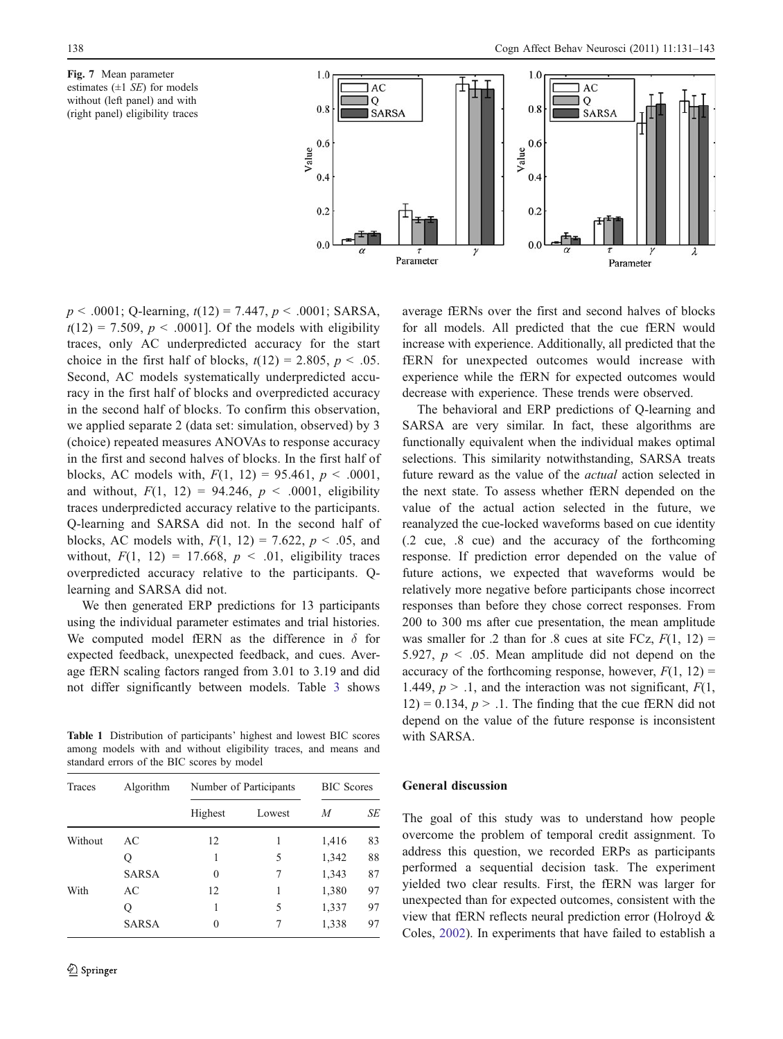<span id="page-7-0"></span>Fig. 7 Mean parameter estimates  $(\pm 1 \text{ } SE)$  for models without (left panel) and with (right panel) eligibility traces



 $p < .0001$ ; Q-learning,  $t(12) = 7.447$ ,  $p < .0001$ ; SARSA,  $t(12) = 7.509$ ,  $p < .0001$ . Of the models with eligibility traces, only AC underpredicted accuracy for the start choice in the first half of blocks,  $t(12) = 2.805$ ,  $p < .05$ . Second, AC models systematically underpredicted accuracy in the first half of blocks and overpredicted accuracy in the second half of blocks. To confirm this observation, we applied separate 2 (data set: simulation, observed) by 3 (choice) repeated measures ANOVAs to response accuracy in the first and second halves of blocks. In the first half of blocks, AC models with,  $F(1, 12) = 95.461$ ,  $p < .0001$ , and without,  $F(1, 12) = 94.246$ ,  $p < .0001$ , eligibility traces underpredicted accuracy relative to the participants. Q-learning and SARSA did not. In the second half of blocks, AC models with,  $F(1, 12) = 7.622$ ,  $p < .05$ , and without,  $F(1, 12) = 17.668$ ,  $p < .01$ , eligibility traces overpredicted accuracy relative to the participants. Qlearning and SARSA did not.

We then generated ERP predictions for 13 participants using the individual parameter estimates and trial histories. We computed model fERN as the difference in  $\delta$  for expected feedback, unexpected feedback, and cues. Average fERN scaling factors ranged from 3.01 to 3.19 and did not differ significantly between models. Table [3](#page-8-0) shows

Table 1 Distribution of participants' highest and lowest BIC scores among models with and without eligibility traces, and means and standard errors of the BIC scores by model

| <b>Traces</b> | Algorithm    | Number of Participants | <b>BIC</b> Scores |       |    |
|---------------|--------------|------------------------|-------------------|-------|----|
|               |              | Highest                | Lowest            | М     | SE |
| Without       | AC           | 12                     | 1                 | 1,416 | 83 |
|               | Q            |                        | 5                 | 1,342 | 88 |
|               | <b>SARSA</b> | $\Omega$               | 7                 | 1,343 | 87 |
| With          | AC           | 12                     | 1                 | 1,380 | 97 |
|               | Q            | 1                      | 5                 | 1,337 | 97 |
|               | <b>SARSA</b> | $\Omega$               | 7                 | 1,338 | 97 |

average fERNs over the first and second halves of blocks for all models. All predicted that the cue fERN would increase with experience. Additionally, all predicted that the fERN for unexpected outcomes would increase with experience while the fERN for expected outcomes would decrease with experience. These trends were observed.

The behavioral and ERP predictions of Q-learning and SARSA are very similar. In fact, these algorithms are functionally equivalent when the individual makes optimal selections. This similarity notwithstanding, SARSA treats future reward as the value of the actual action selected in the next state. To assess whether fERN depended on the value of the actual action selected in the future, we reanalyzed the cue-locked waveforms based on cue identity (.2 cue, .8 cue) and the accuracy of the forthcoming response. If prediction error depended on the value of future actions, we expected that waveforms would be relatively more negative before participants chose incorrect responses than before they chose correct responses. From 200 to 300 ms after cue presentation, the mean amplitude was smaller for .2 than for .8 cues at site FCz,  $F(1, 12) =$ 5.927,  $p < .05$ . Mean amplitude did not depend on the accuracy of the forthcoming response, however,  $F(1, 12)$  = 1.449,  $p > 0.1$ , and the interaction was not significant,  $F(1, 1)$  $12$ ) = 0.134,  $p > 0.1$ . The finding that the cue fERN did not depend on the value of the future response is inconsistent with SARSA.

#### General discussion

The goal of this study was to understand how people overcome the problem of temporal credit assignment. To address this question, we recorded ERPs as participants performed a sequential decision task. The experiment yielded two clear results. First, the fERN was larger for unexpected than for expected outcomes, consistent with the view that fERN reflects neural prediction error (Holroyd & Coles, [2002](#page-11-0)). In experiments that have failed to establish a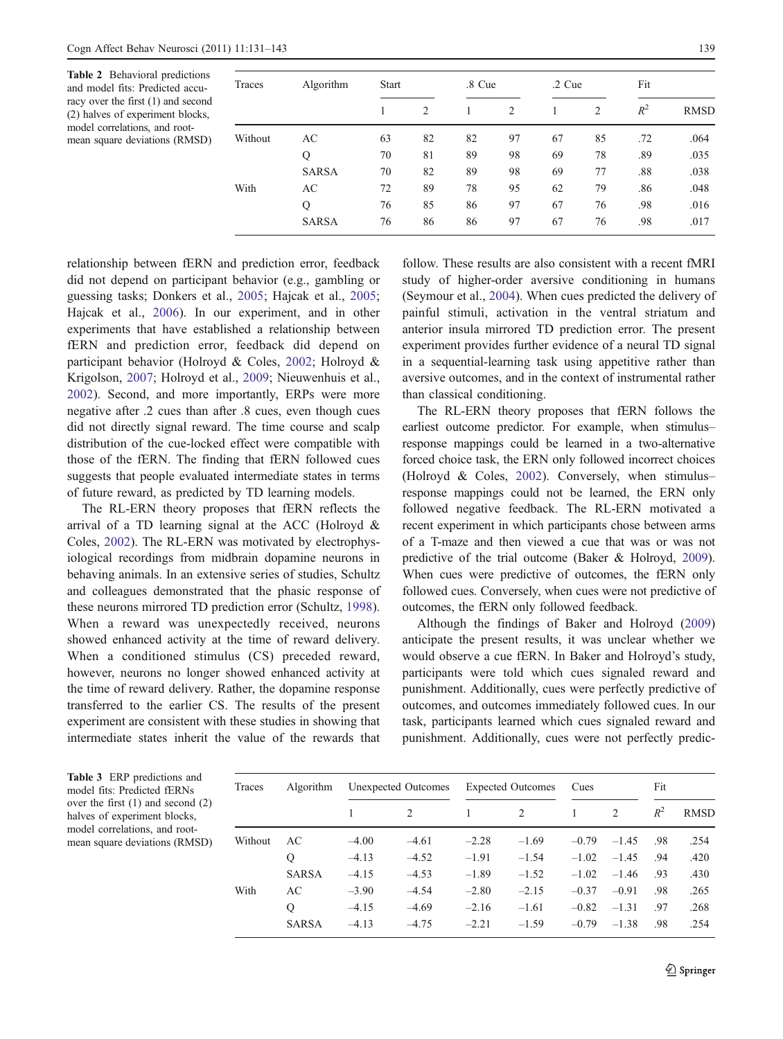<span id="page-8-0"></span>Table 2 Behavioral predictions and model fits: Predicted accuracy over the first (1) and second (2) halves of experiment blocks, model correlations, and rootmean square deviations (RMSD)

| Traces  | Algorithm    | <b>Start</b> |    |    | .8 Cue |    | $.2$ Cue |       | Fit         |  |
|---------|--------------|--------------|----|----|--------|----|----------|-------|-------------|--|
|         |              |              | 2  | 1  | 2      | 1  | 2        | $R^2$ | <b>RMSD</b> |  |
| Without | AC           | 63           | 82 | 82 | 97     | 67 | 85       | .72   | .064        |  |
|         | Q            | 70           | 81 | 89 | 98     | 69 | 78       | .89   | .035        |  |
|         | <b>SARSA</b> | 70           | 82 | 89 | 98     | 69 | 77       | .88   | .038        |  |
| With    | AC           | 72           | 89 | 78 | 95     | 62 | 79       | .86   | .048        |  |
|         | Q            | 76           | 85 | 86 | 97     | 67 | 76       | .98   | .016        |  |
|         | <b>SARSA</b> | 76           | 86 | 86 | 97     | 67 | 76       | .98   | .017        |  |

relationship between fERN and prediction error, feedback did not depend on participant behavior (e.g., gambling or guessing tasks; Donkers et al., [2005;](#page-11-0) Hajcak et al., [2005](#page-11-0); Hajcak et al., [2006](#page-11-0)). In our experiment, and in other experiments that have established a relationship between fERN and prediction error, feedback did depend on participant behavior (Holroyd & Coles, [2002](#page-11-0); Holroyd & Krigolson, [2007;](#page-11-0) Holroyd et al., [2009;](#page-11-0) Nieuwenhuis et al., [2002\)](#page-11-0). Second, and more importantly, ERPs were more negative after .2 cues than after .8 cues, even though cues did not directly signal reward. The time course and scalp distribution of the cue-locked effect were compatible with those of the fERN. The finding that fERN followed cues suggests that people evaluated intermediate states in terms of future reward, as predicted by TD learning models.

The RL-ERN theory proposes that fERN reflects the arrival of a TD learning signal at the ACC (Holroyd  $\&$ Coles, [2002](#page-11-0)). The RL-ERN was motivated by electrophysiological recordings from midbrain dopamine neurons in behaving animals. In an extensive series of studies, Schultz and colleagues demonstrated that the phasic response of these neurons mirrored TD prediction error (Schultz, [1998](#page-12-0)). When a reward was unexpectedly received, neurons showed enhanced activity at the time of reward delivery. When a conditioned stimulus (CS) preceded reward, however, neurons no longer showed enhanced activity at the time of reward delivery. Rather, the dopamine response transferred to the earlier CS. The results of the present experiment are consistent with these studies in showing that intermediate states inherit the value of the rewards that

follow. These results are also consistent with a recent fMRI study of higher-order aversive conditioning in humans (Seymour et al., [2004](#page-12-0)). When cues predicted the delivery of painful stimuli, activation in the ventral striatum and anterior insula mirrored TD prediction error. The present experiment provides further evidence of a neural TD signal in a sequential-learning task using appetitive rather than aversive outcomes, and in the context of instrumental rather than classical conditioning.

The RL-ERN theory proposes that fERN follows the earliest outcome predictor. For example, when stimulus– response mappings could be learned in a two-alternative forced choice task, the ERN only followed incorrect choices (Holroyd & Coles, [2002](#page-11-0)). Conversely, when stimulus– response mappings could not be learned, the ERN only followed negative feedback. The RL-ERN motivated a recent experiment in which participants chose between arms of a T-maze and then viewed a cue that was or was not predictive of the trial outcome (Baker & Holroyd, [2009\)](#page-10-0). When cues were predictive of outcomes, the fERN only followed cues. Conversely, when cues were not predictive of outcomes, the fERN only followed feedback.

Although the findings of Baker and Holroyd [\(2009](#page-10-0)) anticipate the present results, it was unclear whether we would observe a cue fERN. In Baker and Holroyd's study, participants were told which cues signaled reward and punishment. Additionally, cues were perfectly predictive of outcomes, and outcomes immediately followed cues. In our task, participants learned which cues signaled reward and punishment. Additionally, cues were not perfectly predic-

Table 3 ERP predictions and model fits: Predicted fERNs over the first (1) and second (2) halves of experiment blocks, model correlations, and rootmean square deviations (RMSD)

| Traces  | <b>Algorithm</b> | Unexpected Outcomes |         | <b>Expected Outcomes</b> |                             | Cues    |         | Fit   |             |
|---------|------------------|---------------------|---------|--------------------------|-----------------------------|---------|---------|-------|-------------|
|         |                  |                     |         |                          | $\mathcal{D}_{\mathcal{L}}$ |         | 2       | $R^2$ | <b>RMSD</b> |
| Without | AC               | $-4.00$             | $-4.61$ | $-2.28$                  | $-1.69$                     | $-0.79$ | $-1.45$ | .98   | .254        |
|         | Q                | $-4.13$             | $-4.52$ | $-1.91$                  | $-1.54$                     | $-1.02$ | $-1.45$ | .94   | .420        |
|         | <b>SARSA</b>     | $-4.15$             | $-4.53$ | $-1.89$                  | $-1.52$                     | $-1.02$ | $-1.46$ | .93   | .430        |
| With    | AC               | $-3.90$             | $-4.54$ | $-2.80$                  | $-2.15$                     | $-0.37$ | $-0.91$ | .98   | .265        |
|         | Q                | $-4.15$             | $-4.69$ | $-2.16$                  | $-1.61$                     | $-0.82$ | $-1.31$ | .97   | .268        |
|         | <b>SARSA</b>     | $-4.13$             | $-4.75$ | $-2.21$                  | $-1.59$                     | $-0.79$ | $-1.38$ | .98   | .254        |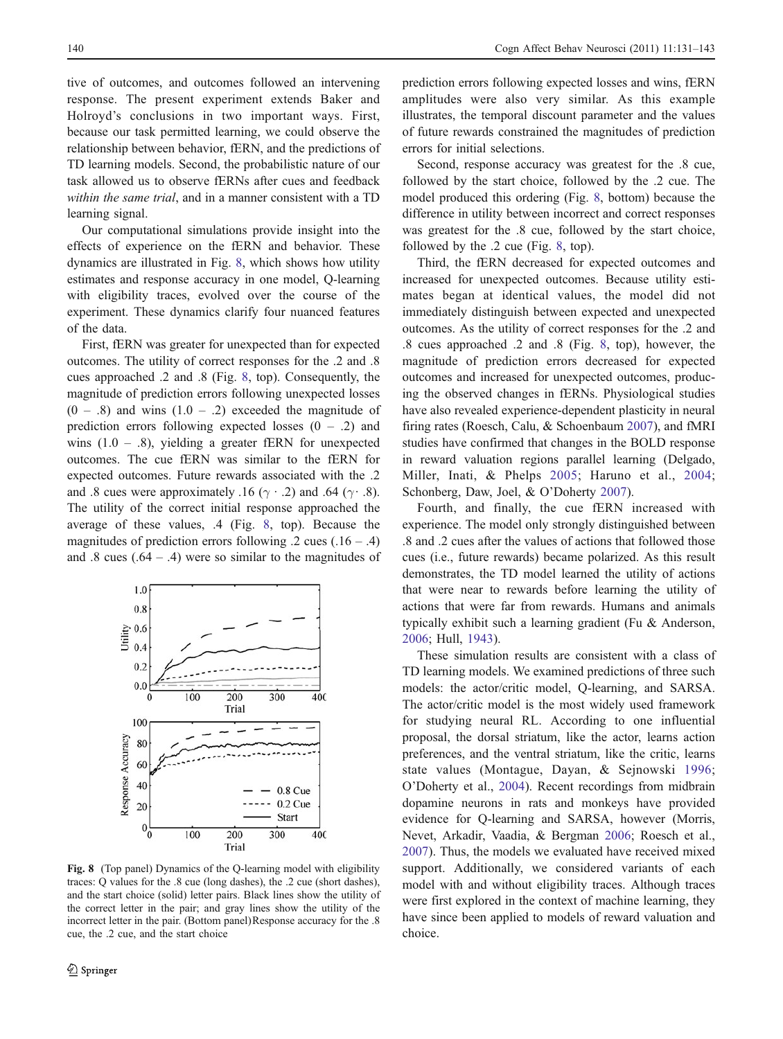tive of outcomes, and outcomes followed an intervening response. The present experiment extends Baker and Holroyd's conclusions in two important ways. First, because our task permitted learning, we could observe the relationship between behavior, fERN, and the predictions of TD learning models. Second, the probabilistic nature of our task allowed us to observe fERNs after cues and feedback within the same trial, and in a manner consistent with a TD learning signal.

Our computational simulations provide insight into the effects of experience on the fERN and behavior. These dynamics are illustrated in Fig. 8, which shows how utility estimates and response accuracy in one model, Q-learning with eligibility traces, evolved over the course of the experiment. These dynamics clarify four nuanced features of the data.

First, fERN was greater for unexpected than for expected outcomes. The utility of correct responses for the .2 and .8 cues approached .2 and .8 (Fig. 8, top). Consequently, the magnitude of prediction errors following unexpected losses  $(0 - .8)$  and wins  $(1.0 - .2)$  exceeded the magnitude of prediction errors following expected losses  $(0 - 0.2)$  and wins  $(1.0 - .8)$ , yielding a greater fERN for unexpected outcomes. The cue fERN was similar to the fERN for expected outcomes. Future rewards associated with the .2 and .8 cues were approximately .16 ( $\gamma$  · .2) and .64 ( $\gamma$  · .8). The utility of the correct initial response approached the average of these values, .4 (Fig. 8, top). Because the magnitudes of prediction errors following  $.2$  cues  $(.16 - .4)$ and .8 cues  $(.64 - .4)$  were so similar to the magnitudes of



Fig. 8 (Top panel) Dynamics of the Q-learning model with eligibility traces: Q values for the .8 cue (long dashes), the .2 cue (short dashes), and the start choice (solid) letter pairs. Black lines show the utility of the correct letter in the pair; and gray lines show the utility of the incorrect letter in the pair. (Bottom panel)Response accuracy for the .8 cue, the .2 cue, and the start choice

prediction errors following expected losses and wins, fERN amplitudes were also very similar. As this example illustrates, the temporal discount parameter and the values of future rewards constrained the magnitudes of prediction errors for initial selections.

Second, response accuracy was greatest for the .8 cue, followed by the start choice, followed by the .2 cue. The model produced this ordering (Fig. 8, bottom) because the difference in utility between incorrect and correct responses was greatest for the .8 cue, followed by the start choice, followed by the .2 cue (Fig. 8, top).

Third, the fERN decreased for expected outcomes and increased for unexpected outcomes. Because utility estimates began at identical values, the model did not immediately distinguish between expected and unexpected outcomes. As the utility of correct responses for the .2 and .8 cues approached .2 and .8 (Fig. 8, top), however, the magnitude of prediction errors decreased for expected outcomes and increased for unexpected outcomes, producing the observed changes in fERNs. Physiological studies have also revealed experience-dependent plasticity in neural firing rates (Roesch, Calu, & Schoenbaum [2007](#page-12-0)), and fMRI studies have confirmed that changes in the BOLD response in reward valuation regions parallel learning (Delgado, Miller, Inati, & Phelps [2005;](#page-11-0) Haruno et al., [2004;](#page-11-0) Schonberg, Daw, Joel, & O'Doherty [2007\)](#page-12-0).

Fourth, and finally, the cue fERN increased with experience. The model only strongly distinguished between .8 and .2 cues after the values of actions that followed those cues (i.e., future rewards) became polarized. As this result demonstrates, the TD model learned the utility of actions that were near to rewards before learning the utility of actions that were far from rewards. Humans and animals typically exhibit such a learning gradient (Fu & Anderson, [2006](#page-11-0); Hull, [1943](#page-11-0)).

These simulation results are consistent with a class of TD learning models. We examined predictions of three such models: the actor/critic model, Q-learning, and SARSA. The actor/critic model is the most widely used framework for studying neural RL. According to one influential proposal, the dorsal striatum, like the actor, learns action preferences, and the ventral striatum, like the critic, learns state values (Montague, Dayan, & Sejnowski [1996;](#page-11-0) O'Doherty et al., [2004](#page-11-0)). Recent recordings from midbrain dopamine neurons in rats and monkeys have provided evidence for Q-learning and SARSA, however (Morris, Nevet, Arkadir, Vaadia, & Bergman [2006](#page-11-0); Roesch et al., [2007](#page-12-0)). Thus, the models we evaluated have received mixed support. Additionally, we considered variants of each model with and without eligibility traces. Although traces were first explored in the context of machine learning, they have since been applied to models of reward valuation and choice.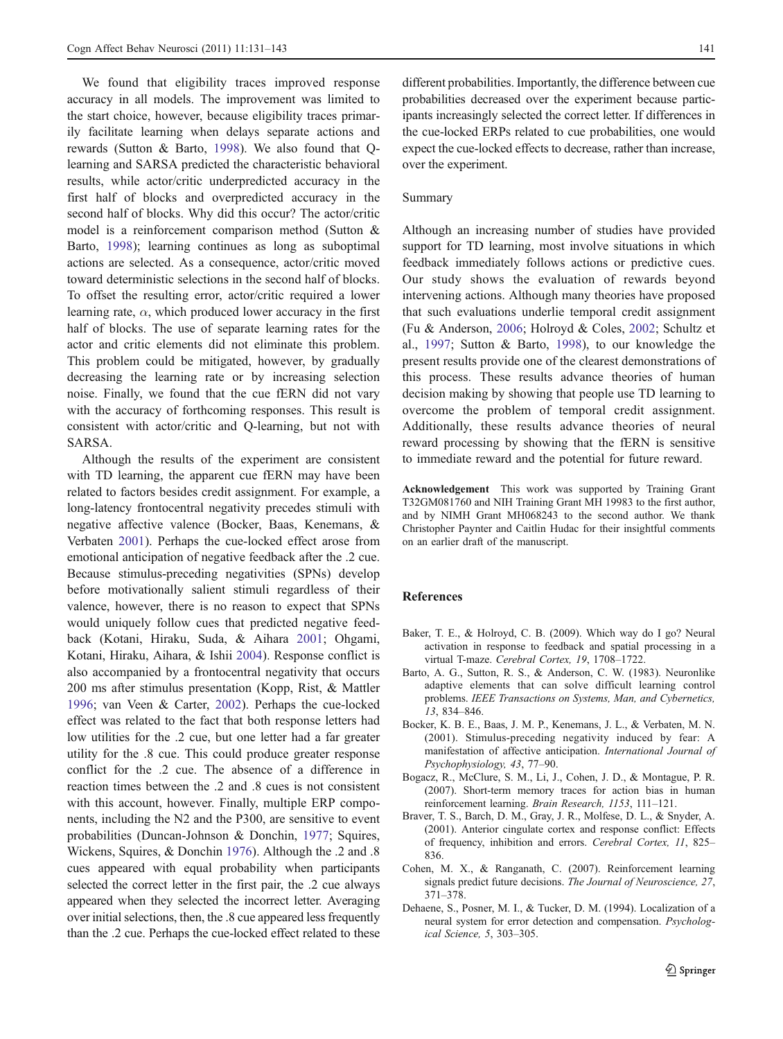<span id="page-10-0"></span>We found that eligibility traces improved response accuracy in all models. The improvement was limited to the start choice, however, because eligibility traces primarily facilitate learning when delays separate actions and rewards (Sutton & Barto, [1998](#page-12-0)). We also found that Qlearning and SARSA predicted the characteristic behavioral results, while actor/critic underpredicted accuracy in the first half of blocks and overpredicted accuracy in the second half of blocks. Why did this occur? The actor/critic model is a reinforcement comparison method (Sutton & Barto, [1998](#page-12-0)); learning continues as long as suboptimal actions are selected. As a consequence, actor/critic moved toward deterministic selections in the second half of blocks. To offset the resulting error, actor/critic required a lower learning rate,  $\alpha$ , which produced lower accuracy in the first half of blocks. The use of separate learning rates for the actor and critic elements did not eliminate this problem. This problem could be mitigated, however, by gradually decreasing the learning rate or by increasing selection noise. Finally, we found that the cue fERN did not vary with the accuracy of forthcoming responses. This result is consistent with actor/critic and Q-learning, but not with SARSA.

Although the results of the experiment are consistent with TD learning, the apparent cue fERN may have been related to factors besides credit assignment. For example, a long-latency frontocentral negativity precedes stimuli with negative affective valence (Bocker, Baas, Kenemans, & Verbaten 2001). Perhaps the cue-locked effect arose from emotional anticipation of negative feedback after the .2 cue. Because stimulus-preceding negativities (SPNs) develop before motivationally salient stimuli regardless of their valence, however, there is no reason to expect that SPNs would uniquely follow cues that predicted negative feedback (Kotani, Hiraku, Suda, & Aihara [2001;](#page-11-0) Ohgami, Kotani, Hiraku, Aihara, & Ishii [2004\)](#page-11-0). Response conflict is also accompanied by a frontocentral negativity that occurs 200 ms after stimulus presentation (Kopp, Rist, & Mattler [1996;](#page-11-0) van Veen & Carter, [2002\)](#page-12-0). Perhaps the cue-locked effect was related to the fact that both response letters had low utilities for the .2 cue, but one letter had a far greater utility for the .8 cue. This could produce greater response conflict for the .2 cue. The absence of a difference in reaction times between the .2 and .8 cues is not consistent with this account, however. Finally, multiple ERP components, including the N2 and the P300, are sensitive to event probabilities (Duncan-Johnson & Donchin, [1977](#page-11-0); Squires, Wickens, Squires, & Donchin [1976\)](#page-12-0). Although the .2 and .8 cues appeared with equal probability when participants selected the correct letter in the first pair, the .2 cue always appeared when they selected the incorrect letter. Averaging over initial selections, then, the .8 cue appeared less frequently than the .2 cue. Perhaps the cue-locked effect related to these

different probabilities. Importantly, the difference between cue probabilities decreased over the experiment because participants increasingly selected the correct letter. If differences in the cue-locked ERPs related to cue probabilities, one would expect the cue-locked effects to decrease, rather than increase, over the experiment.

#### Summary

Although an increasing number of studies have provided support for TD learning, most involve situations in which feedback immediately follows actions or predictive cues. Our study shows the evaluation of rewards beyond intervening actions. Although many theories have proposed that such evaluations underlie temporal credit assignment (Fu & Anderson, [2006;](#page-11-0) Holroyd & Coles, [2002;](#page-11-0) Schultz et al., [1997;](#page-12-0) Sutton & Barto, [1998\)](#page-12-0), to our knowledge the present results provide one of the clearest demonstrations of this process. These results advance theories of human decision making by showing that people use TD learning to overcome the problem of temporal credit assignment. Additionally, these results advance theories of neural reward processing by showing that the fERN is sensitive to immediate reward and the potential for future reward.

Acknowledgement This work was supported by Training Grant T32GM081760 and NIH Training Grant MH 19983 to the first author, and by NIMH Grant MH068243 to the second author. We thank Christopher Paynter and Caitlin Hudac for their insightful comments on an earlier draft of the manuscript.

# References

- Baker, T. E., & Holroyd, C. B. (2009). Which way do I go? Neural activation in response to feedback and spatial processing in a virtual T-maze. Cerebral Cortex, 19, 1708–1722.
- Barto, A. G., Sutton, R. S., & Anderson, C. W. (1983). Neuronlike adaptive elements that can solve difficult learning control problems. IEEE Transactions on Systems, Man, and Cybernetics, 13, 834–846.
- Bocker, K. B. E., Baas, J. M. P., Kenemans, J. L., & Verbaten, M. N. (2001). Stimulus-preceding negativity induced by fear: A manifestation of affective anticipation. International Journal of Psychophysiology, 43, 77–90.
- Bogacz, R., McClure, S. M., Li, J., Cohen, J. D., & Montague, P. R. (2007). Short-term memory traces for action bias in human reinforcement learning. Brain Research, 1153, 111–121.
- Braver, T. S., Barch, D. M., Gray, J. R., Molfese, D. L., & Snyder, A. (2001). Anterior cingulate cortex and response conflict: Effects of frequency, inhibition and errors. Cerebral Cortex, 11, 825– 836.
- Cohen, M. X., & Ranganath, C. (2007). Reinforcement learning signals predict future decisions. The Journal of Neuroscience, 27, 371–378.
- Dehaene, S., Posner, M. I., & Tucker, D. M. (1994). Localization of a neural system for error detection and compensation. Psychological Science, 5, 303–305.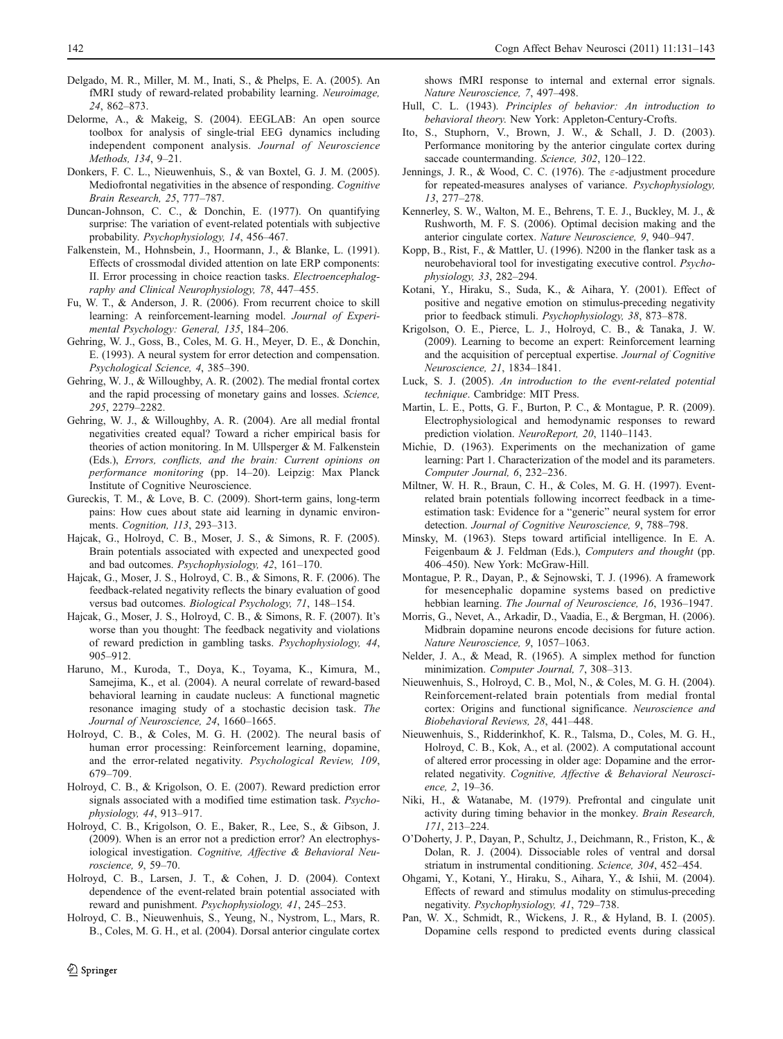- <span id="page-11-0"></span>Delgado, M. R., Miller, M. M., Inati, S., & Phelps, E. A. (2005). An fMRI study of reward-related probability learning. Neuroimage, 24, 862–873.
- Delorme, A., & Makeig, S. (2004). EEGLAB: An open source toolbox for analysis of single-trial EEG dynamics including independent component analysis. Journal of Neuroscience Methods, 134, 9–21.
- Donkers, F. C. L., Nieuwenhuis, S., & van Boxtel, G. J. M. (2005). Mediofrontal negativities in the absence of responding. Cognitive Brain Research, 25, 777–787.
- Duncan-Johnson, C. C., & Donchin, E. (1977). On quantifying surprise: The variation of event-related potentials with subjective probability. Psychophysiology, 14, 456–467.
- Falkenstein, M., Hohnsbein, J., Hoormann, J., & Blanke, L. (1991). Effects of crossmodal divided attention on late ERP components: II. Error processing in choice reaction tasks. Electroencephalography and Clinical Neurophysiology, 78, 447–455.
- Fu, W. T., & Anderson, J. R. (2006). From recurrent choice to skill learning: A reinforcement-learning model. Journal of Experimental Psychology: General, 135, 184–206.
- Gehring, W. J., Goss, B., Coles, M. G. H., Meyer, D. E., & Donchin, E. (1993). A neural system for error detection and compensation. Psychological Science, 4, 385–390.
- Gehring, W. J., & Willoughby, A. R. (2002). The medial frontal cortex and the rapid processing of monetary gains and losses. Science, 295, 2279–2282.
- Gehring, W. J., & Willoughby, A. R. (2004). Are all medial frontal negativities created equal? Toward a richer empirical basis for theories of action monitoring. In M. Ullsperger & M. Falkenstein (Eds.), Errors, conflicts, and the brain: Current opinions on performance monitoring (pp. 14–20). Leipzig: Max Planck Institute of Cognitive Neuroscience.
- Gureckis, T. M., & Love, B. C. (2009). Short-term gains, long-term pains: How cues about state aid learning in dynamic environments. Cognition, 113, 293–313.
- Hajcak, G., Holroyd, C. B., Moser, J. S., & Simons, R. F. (2005). Brain potentials associated with expected and unexpected good and bad outcomes. Psychophysiology, 42, 161–170.
- Hajcak, G., Moser, J. S., Holroyd, C. B., & Simons, R. F. (2006). The feedback-related negativity reflects the binary evaluation of good versus bad outcomes. Biological Psychology, 71, 148–154.
- Hajcak, G., Moser, J. S., Holroyd, C. B., & Simons, R. F. (2007). It's worse than you thought: The feedback negativity and violations of reward prediction in gambling tasks. Psychophysiology, 44, 905–912.
- Haruno, M., Kuroda, T., Doya, K., Toyama, K., Kimura, M., Samejima, K., et al. (2004). A neural correlate of reward-based behavioral learning in caudate nucleus: A functional magnetic resonance imaging study of a stochastic decision task. The Journal of Neuroscience, 24, 1660–1665.
- Holroyd, C. B., & Coles, M. G. H. (2002). The neural basis of human error processing: Reinforcement learning, dopamine, and the error-related negativity. Psychological Review, 109, 679–709.
- Holroyd, C. B., & Krigolson, O. E. (2007). Reward prediction error signals associated with a modified time estimation task. Psychophysiology, 44, 913–917.
- Holroyd, C. B., Krigolson, O. E., Baker, R., Lee, S., & Gibson, J. (2009). When is an error not a prediction error? An electrophysiological investigation. Cognitive, Affective & Behavioral Neuroscience, 9, 59–70.
- Holroyd, C. B., Larsen, J. T., & Cohen, J. D. (2004). Context dependence of the event-related brain potential associated with reward and punishment. Psychophysiology, 41, 245–253.
- Holroyd, C. B., Nieuwenhuis, S., Yeung, N., Nystrom, L., Mars, R. B., Coles, M. G. H., et al. (2004). Dorsal anterior cingulate cortex

shows fMRI response to internal and external error signals. Nature Neuroscience, 7, 497–498.

- Hull, C. L. (1943). Principles of behavior: An introduction to behavioral theory. New York: Appleton-Century-Crofts.
- Ito, S., Stuphorn, V., Brown, J. W., & Schall, J. D. (2003). Performance monitoring by the anterior cingulate cortex during saccade countermanding. Science, 302, 120-122.
- Jennings, J. R., & Wood, C. C. (1976). The  $\varepsilon$ -adjustment procedure for repeated-measures analyses of variance. Psychophysiology, 13, 277–278.
- Kennerley, S. W., Walton, M. E., Behrens, T. E. J., Buckley, M. J., & Rushworth, M. F. S. (2006). Optimal decision making and the anterior cingulate cortex. Nature Neuroscience, 9, 940–947.
- Kopp, B., Rist, F., & Mattler, U. (1996). N200 in the flanker task as a neurobehavioral tool for investigating executive control. Psychophysiology, 33, 282–294.
- Kotani, Y., Hiraku, S., Suda, K., & Aihara, Y. (2001). Effect of positive and negative emotion on stimulus-preceding negativity prior to feedback stimuli. Psychophysiology, 38, 873–878.
- Krigolson, O. E., Pierce, L. J., Holroyd, C. B., & Tanaka, J. W. (2009). Learning to become an expert: Reinforcement learning and the acquisition of perceptual expertise. Journal of Cognitive Neuroscience, 21, 1834–1841.
- Luck, S. J. (2005). An introduction to the event-related potential technique. Cambridge: MIT Press.
- Martin, L. E., Potts, G. F., Burton, P. C., & Montague, P. R. (2009). Electrophysiological and hemodynamic responses to reward prediction violation. NeuroReport, 20, 1140–1143.
- Michie, D. (1963). Experiments on the mechanization of game learning: Part 1. Characterization of the model and its parameters. Computer Journal, 6, 232–236.
- Miltner, W. H. R., Braun, C. H., & Coles, M. G. H. (1997). Eventrelated brain potentials following incorrect feedback in a timeestimation task: Evidence for a "generic" neural system for error detection. Journal of Cognitive Neuroscience, 9, 788–798.
- Minsky, M. (1963). Steps toward artificial intelligence. In E. A. Feigenbaum & J. Feldman (Eds.), Computers and thought (pp. 406–450). New York: McGraw-Hill.
- Montague, P. R., Dayan, P., & Sejnowski, T. J. (1996). A framework for mesencephalic dopamine systems based on predictive hebbian learning. The Journal of Neuroscience, 16, 1936–1947.
- Morris, G., Nevet, A., Arkadir, D., Vaadia, E., & Bergman, H. (2006). Midbrain dopamine neurons encode decisions for future action. Nature Neuroscience, 9, 1057–1063.
- Nelder, J. A., & Mead, R. (1965). A simplex method for function minimization. Computer Journal, 7, 308–313.
- Nieuwenhuis, S., Holroyd, C. B., Mol, N., & Coles, M. G. H. (2004). Reinforcement-related brain potentials from medial frontal cortex: Origins and functional significance. Neuroscience and Biobehavioral Reviews, 28, 441–448.
- Nieuwenhuis, S., Ridderinkhof, K. R., Talsma, D., Coles, M. G. H., Holroyd, C. B., Kok, A., et al. (2002). A computational account of altered error processing in older age: Dopamine and the errorrelated negativity. Cognitive, Affective & Behavioral Neuroscience, 2, 19–36.
- Niki, H., & Watanabe, M. (1979). Prefrontal and cingulate unit activity during timing behavior in the monkey. Brain Research, 171, 213–224.
- O'Doherty, J. P., Dayan, P., Schultz, J., Deichmann, R., Friston, K., & Dolan, R. J. (2004). Dissociable roles of ventral and dorsal striatum in instrumental conditioning. Science, 304, 452–454.
- Ohgami, Y., Kotani, Y., Hiraku, S., Aihara, Y., & Ishii, M. (2004). Effects of reward and stimulus modality on stimulus-preceding negativity. Psychophysiology, 41, 729–738.
- Pan, W. X., Schmidt, R., Wickens, J. R., & Hyland, B. I. (2005). Dopamine cells respond to predicted events during classical